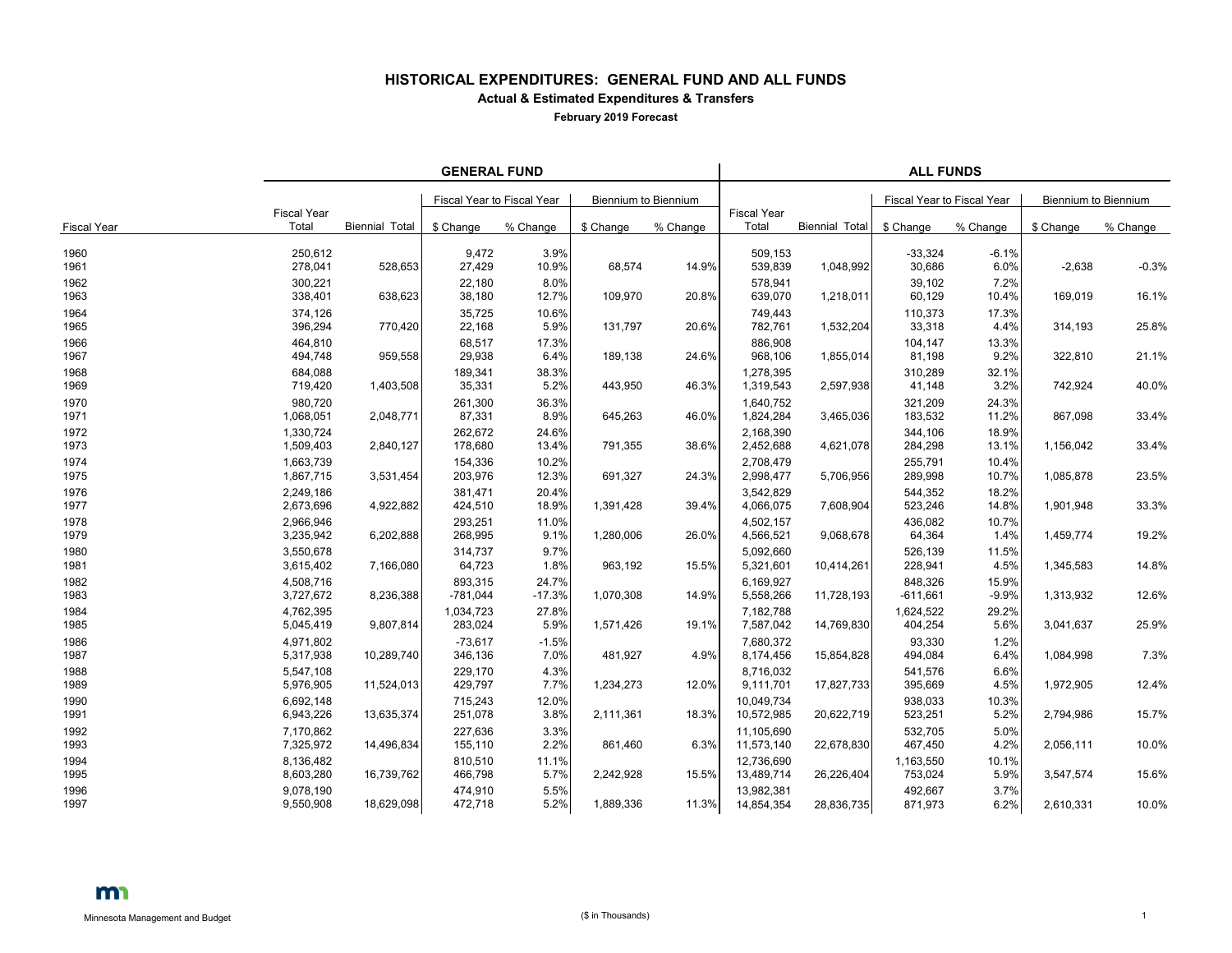## **HISTORICAL EXPENDITURES: GENERAL FUND AND ALL FUNDS Actual & Estimated Expenditures & Transfers**

**February 2019 Forecast**

|                    | <b>GENERAL FUND</b>         |                       |                            |                   |                             |          | <b>ALL FUNDS</b>            |                       |                            |                  |                      |          |  |
|--------------------|-----------------------------|-----------------------|----------------------------|-------------------|-----------------------------|----------|-----------------------------|-----------------------|----------------------------|------------------|----------------------|----------|--|
|                    |                             |                       | Fiscal Year to Fiscal Year |                   | <b>Biennium to Biennium</b> |          |                             |                       | Fiscal Year to Fiscal Year |                  | Biennium to Biennium |          |  |
| <b>Fiscal Year</b> | <b>Fiscal Year</b><br>Total | <b>Biennial Total</b> | \$ Change                  | % Change          | \$ Change                   | % Change | <b>Fiscal Year</b><br>Total | <b>Biennial Total</b> | \$ Change                  | % Change         | \$ Change            | % Change |  |
| 1960<br>1961       | 250,612<br>278,041          | 528,653               | 9,472<br>27,429            | 3.9%<br>10.9%     | 68,574                      | 14.9%    | 509,153<br>539,839          | 1,048,992             | $-33,324$<br>30,686        | $-6.1%$<br>6.0%  | $-2,638$             | $-0.3%$  |  |
| 1962<br>1963       | 300,221<br>338,401          | 638,623               | 22,180<br>38,180           | 8.0%<br>12.7%     | 109,970                     | 20.8%    | 578,941<br>639,070          | 1,218,011             | 39,102<br>60,129           | 7.2%<br>10.4%    | 169,019              | 16.1%    |  |
| 1964<br>1965       | 374,126<br>396,294          | 770,420               | 35,725<br>22,168           | 10.6%<br>5.9%     | 131,797                     | 20.6%    | 749.443<br>782,761          | 1,532,204             | 110,373<br>33,318          | 17.3%<br>4.4%    | 314,193              | 25.8%    |  |
| 1966<br>1967       | 464,810<br>494,748          | 959,558               | 68,517<br>29,938           | 17.3%<br>6.4%     | 189,138                     | 24.6%    | 886,908<br>968,106          | 1,855,014             | 104,147<br>81,198          | 13.3%<br>9.2%    | 322,810              | 21.1%    |  |
| 1968<br>1969       | 684,088<br>719,420          | 1,403,508             | 189,341<br>35,331          | 38.3%<br>5.2%     | 443,950                     | 46.3%    | 1,278,395<br>1,319,543      | 2,597,938             | 310,289<br>41,148          | 32.1%<br>3.2%    | 742,924              | 40.0%    |  |
| 1970<br>1971       | 980.720<br>1,068,051        | 2,048,771             | 261,300<br>87,331          | 36.3%<br>8.9%     | 645,263                     | 46.0%    | 1,640,752<br>1,824,284      | 3,465,036             | 321,209<br>183,532         | 24.3%<br>11.2%   | 867,098              | 33.4%    |  |
| 1972<br>1973       | 1,330,724<br>1,509,403      | 2,840,127             | 262,672<br>178,680         | 24.6%<br>13.4%    | 791,355                     | 38.6%    | 2,168,390<br>2,452,688      | 4,621,078             | 344,106<br>284,298         | 18.9%<br>13.1%   | 1,156,042            | 33.4%    |  |
| 1974<br>1975       | 1,663,739<br>1,867,715      | 3,531,454             | 154,336<br>203,976         | 10.2%<br>12.3%    | 691,327                     | 24.3%    | 2,708,479<br>2,998,477      | 5,706,956             | 255,791<br>289,998         | 10.4%<br>10.7%   | 1,085,878            | 23.5%    |  |
| 1976<br>1977       | 2,249,186<br>2,673,696      | 4,922,882             | 381,471<br>424,510         | 20.4%<br>18.9%    | 1,391,428                   | 39.4%    | 3,542,829<br>4,066,075      | 7,608,904             | 544,352<br>523,246         | 18.2%<br>14.8%   | 1,901,948            | 33.3%    |  |
| 1978<br>1979       | 2.966.946<br>3,235,942      | 6,202,888             | 293,251<br>268,995         | 11.0%<br>9.1%     | 1,280,006                   | 26.0%    | 4,502,157<br>4,566,521      | 9,068,678             | 436.082<br>64,364          | 10.7%<br>1.4%    | 1,459,774            | 19.2%    |  |
| 1980<br>1981       | 3,550,678<br>3,615,402      | 7,166,080             | 314,737<br>64,723          | 9.7%<br>1.8%      | 963,192                     | 15.5%    | 5,092,660<br>5,321,601      | 10,414,261            | 526,139<br>228,941         | 11.5%<br>4.5%    | 1,345,583            | 14.8%    |  |
| 1982<br>1983       | 4,508,716<br>3,727,672      | 8,236,388             | 893,315<br>$-781,044$      | 24.7%<br>$-17.3%$ | 1,070,308                   | 14.9%    | 6,169,927<br>5,558,266      | 11,728,193            | 848,326<br>$-611,661$      | 15.9%<br>$-9.9%$ | 1,313,932            | 12.6%    |  |
| 1984<br>1985       | 4.762.395<br>5,045,419      | 9,807,814             | 1.034.723<br>283,024       | 27.8%<br>5.9%     | 1,571,426                   | 19.1%    | 7,182,788<br>7,587,042      | 14,769,830            | 1,624,522<br>404,254       | 29.2%<br>5.6%    | 3,041,637            | 25.9%    |  |
| 1986<br>1987       | 4,971,802<br>5,317,938      | 10,289,740            | $-73,617$<br>346,136       | $-1.5%$<br>7.0%   | 481,927                     | 4.9%     | 7,680,372<br>8,174,456      | 15,854,828            | 93,330<br>494,084          | 1.2%<br>6.4%     | 1,084,998            | 7.3%     |  |
| 1988<br>1989       | 5,547,108<br>5,976,905      | 11,524,013            | 229,170<br>429,797         | 4.3%<br>7.7%      | 1,234,273                   | 12.0%    | 8,716,032<br>9,111,701      | 17,827,733            | 541,576<br>395,669         | 6.6%<br>4.5%     | 1,972,905            | 12.4%    |  |
| 1990<br>1991       | 6.692.148<br>6,943,226      | 13,635,374            | 715,243<br>251,078         | 12.0%<br>3.8%     | 2,111,361                   | 18.3%    | 10,049,734<br>10,572,985    | 20,622,719            | 938.033<br>523,251         | 10.3%<br>5.2%    | 2,794,986            | 15.7%    |  |
| 1992<br>1993       | 7,170,862<br>7,325,972      | 14,496,834            | 227,636<br>155,110         | 3.3%<br>2.2%      | 861,460                     | 6.3%     | 11,105,690<br>11,573,140    | 22,678,830            | 532,705<br>467,450         | 5.0%<br>4.2%     | 2,056,111            | 10.0%    |  |
| 1994<br>1995       | 8,136,482<br>8,603,280      | 16,739,762            | 810,510<br>466,798         | 11.1%<br>5.7%     | 2,242,928                   | 15.5%    | 12,736,690<br>13,489,714    | 26,226,404            | 1,163,550<br>753,024       | 10.1%<br>5.9%    | 3,547,574            | 15.6%    |  |
| 1996<br>1997       | 9,078,190<br>9,550,908      | 18,629,098            | 474,910<br>472,718         | 5.5%<br>5.2%      | 1,889,336                   | 11.3%    | 13,982,381<br>14,854,354    | 28,836,735            | 492,667<br>871,973         | 3.7%<br>6.2%     | 2,610,331            | 10.0%    |  |